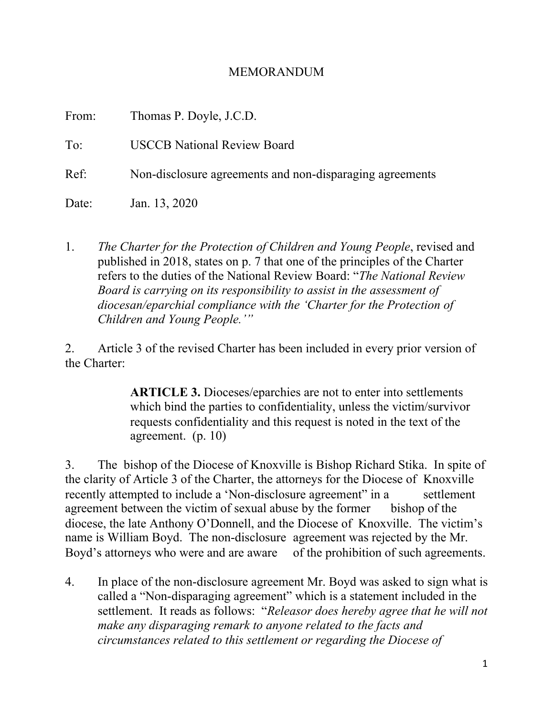## MEMORANDUM

| From: | Thomas P. Doyle, J.C.D.                                  |
|-------|----------------------------------------------------------|
| To:   | <b>USCCB</b> National Review Board                       |
| Ref:  | Non-disclosure agreements and non-disparaging agreements |
| Date: | Jan. 13, 2020                                            |

1. *The Charter for the Protection of Children and Young People*, revised and published in 2018, states on p. 7 that one of the principles of the Charter refers to the duties of the National Review Board: "*The National Review Board is carrying on its responsibility to assist in the assessment of diocesan/eparchial compliance with the 'Charter for the Protection of Children and Young People.'"*

2. Article 3 of the revised Charter has been included in every prior version of the Charter:

> **ARTICLE 3.** Dioceses/eparchies are not to enter into settlements which bind the parties to confidentiality, unless the victim/survivor requests confidentiality and this request is noted in the text of the agreement. (p. 10)

3. The bishop of the Diocese of Knoxville is Bishop Richard Stika. In spite of the clarity of Article 3 of the Charter, the attorneys for the Diocese of Knoxville recently attempted to include a 'Non-disclosure agreement' in a settlement agreement between the victim of sexual abuse by the former bishop of the diocese, the late Anthony O'Donnell, and the Diocese of Knoxville. The victim's name is William Boyd. The non-disclosure agreement was rejected by the Mr. Boyd's attorneys who were and are aware of the prohibition of such agreements.

4. In place of the non-disclosure agreement Mr. Boyd was asked to sign what is called a "Non-disparaging agreement" which is a statement included in the settlement. It reads as follows: "*Releasor does hereby agree that he will not make any disparaging remark to anyone related to the facts and circumstances related to this settlement or regarding the Diocese of*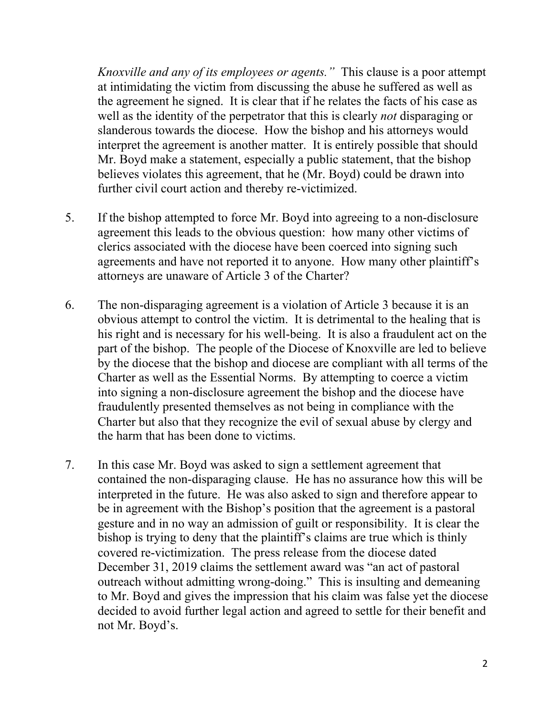*Knoxville and any of its employees or agents."* This clause is a poor attempt at intimidating the victim from discussing the abuse he suffered as well as the agreement he signed. It is clear that if he relates the facts of his case as well as the identity of the perpetrator that this is clearly *not* disparaging or slanderous towards the diocese. How the bishop and his attorneys would interpret the agreement is another matter. It is entirely possible that should Mr. Boyd make a statement, especially a public statement, that the bishop believes violates this agreement, that he (Mr. Boyd) could be drawn into further civil court action and thereby re-victimized.

- 5. If the bishop attempted to force Mr. Boyd into agreeing to a non-disclosure agreement this leads to the obvious question: how many other victims of clerics associated with the diocese have been coerced into signing such agreements and have not reported it to anyone. How many other plaintiff's attorneys are unaware of Article 3 of the Charter?
- 6. The non-disparaging agreement is a violation of Article 3 because it is an obvious attempt to control the victim. It is detrimental to the healing that is his right and is necessary for his well-being. It is also a fraudulent act on the part of the bishop. The people of the Diocese of Knoxville are led to believe by the diocese that the bishop and diocese are compliant with all terms of the Charter as well as the Essential Norms. By attempting to coerce a victim into signing a non-disclosure agreement the bishop and the diocese have fraudulently presented themselves as not being in compliance with the Charter but also that they recognize the evil of sexual abuse by clergy and the harm that has been done to victims.
- 7. In this case Mr. Boyd was asked to sign a settlement agreement that contained the non-disparaging clause. He has no assurance how this will be interpreted in the future. He was also asked to sign and therefore appear to be in agreement with the Bishop's position that the agreement is a pastoral gesture and in no way an admission of guilt or responsibility. It is clear the bishop is trying to deny that the plaintiff's claims are true which is thinly covered re-victimization. The press release from the diocese dated December 31, 2019 claims the settlement award was "an act of pastoral outreach without admitting wrong-doing." This is insulting and demeaning to Mr. Boyd and gives the impression that his claim was false yet the diocese decided to avoid further legal action and agreed to settle for their benefit and not Mr. Boyd's.